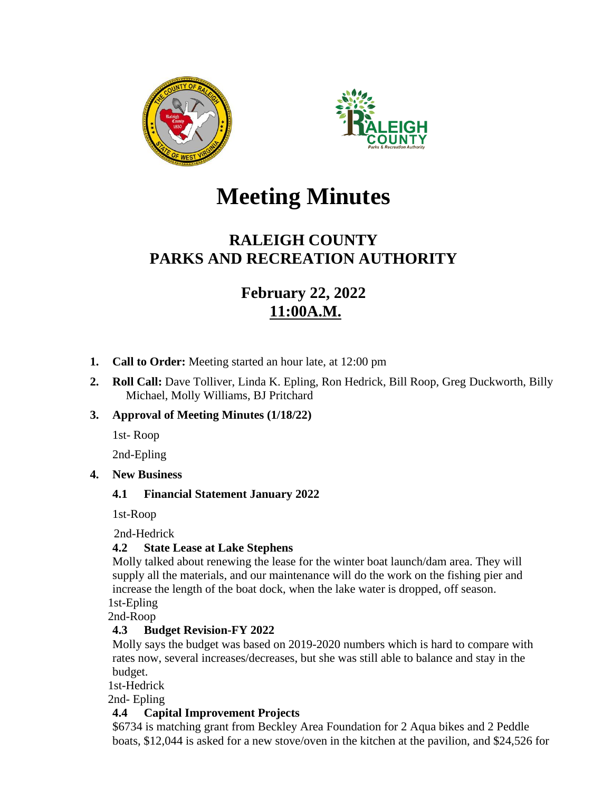



# **Meeting Minutes**

# **RALEIGH COUNTY PARKS AND RECREATION AUTHORITY**

# **February 22, 2022 11:00A.M.**

- **1. Call to Order:** Meeting started an hour late, at 12:00 pm
- **2. Roll Call:** Dave Tolliver, Linda K. Epling, Ron Hedrick, Bill Roop, Greg Duckworth, Billy Michael, Molly Williams, BJ Pritchard

# **3. Approval of Meeting Minutes (1/18/22)**

1st- Roop

2nd-Epling

#### **4. New Business**

# **4.1 Financial Statement January 2022**

1st-Roop

2nd-Hedrick

#### **4.2 State Lease at Lake Stephens**

Molly talked about renewing the lease for the winter boat launch/dam area. They will supply all the materials, and our maintenance will do the work on the fishing pier and increase the length of the boat dock, when the lake water is dropped, off season. 1st-Epling

2nd-Roop

# **4.3 Budget Revision-FY 2022**

Molly says the budget was based on 2019-2020 numbers which is hard to compare with rates now, several increases/decreases, but she was still able to balance and stay in the budget.

1st-Hedrick

2nd- Epling

# **4.4 Capital Improvement Projects**

\$6734 is matching grant from Beckley Area Foundation for 2 Aqua bikes and 2 Peddle boats, \$12,044 is asked for a new stove/oven in the kitchen at the pavilion, and \$24,526 for